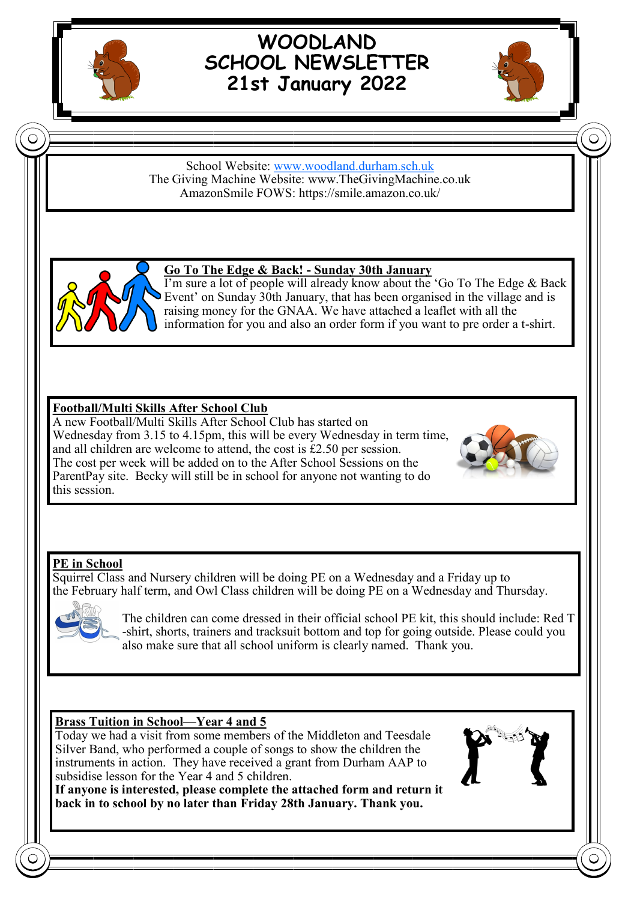

# **WOODLAND SCHOOL NEWSLETTER 21st January 2022**



#### School Website: [www.woodland.durham.sch.uk](http://www.woodland.durham.sch.uk/) The Giving Machine Website: www.TheGivingMachine.co.uk AmazonSmile FOWS: https://smile.amazon.co.uk/



### **Go To The Edge & Back! - Sunday 30th January**

I'm sure a lot of people will already know about the 'Go To The Edge & Back Event' on Sunday 30th January, that has been organised in the village and is raising money for the GNAA. We have attached a leaflet with all the information for you and also an order form if you want to pre order a t-shirt.

### **Football/Multi Skills After School Club**

A new Football/Multi Skills After School Club has started on Wednesday from 3.15 to 4.15pm, this will be every Wednesday in term time, and all children are welcome to attend, the cost is £2.50 per session. The cost per week will be added on to the After School Sessions on the ParentPay site. Becky will still be in school for anyone not wanting to do this session.



### **PE in School**

Squirrel Class and Nursery children will be doing PE on a Wednesday and a Friday up to the February half term, and Owl Class children will be doing PE on a Wednesday and Thursday.



The children can come dressed in their official school PE kit, this should include: Red T -shirt, shorts, trainers and tracksuit bottom and top for going outside. Please could you also make sure that all school uniform is clearly named. Thank you.

#### **Brass Tuition in School—Year 4 and 5**

Today we had a visit from some members of the Middleton and Teesdale Silver Band, who performed a couple of songs to show the children the instruments in action. They have received a grant from Durham AAP to subsidise lesson for the Year 4 and 5 children.

**If anyone is interested, please complete the attached form and return it back in to school by no later than Friday 28th January. Thank you.**